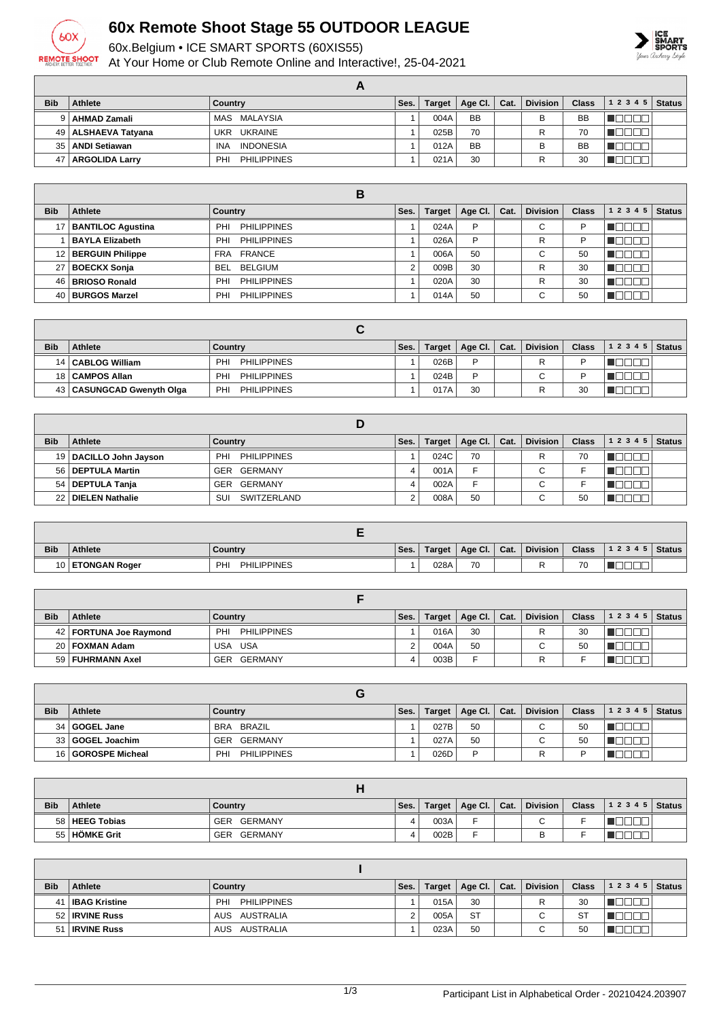

## **60x Remote Shoot Stage 55 OUTDOOR LEAGUE**

60x.Belgium • ICE SMART SPORTS (60XIS55)

At Your Home or Club Remote Online and Interactive!, 25-04-2021



| <b>Bib</b> | Athlete               | Country                   | Ses. | Target | Age Cl. $ $ | Cat. | <b>Division</b> | Class     | 1 2 3 4 5 | <b>Status</b> |
|------------|-----------------------|---------------------------|------|--------|-------------|------|-----------------|-----------|-----------|---------------|
| 9 I        | AHMAD Zamali          | MAS MALAYSIA              |      | 004A   | <b>BB</b>   |      | В               | <b>BB</b> |           |               |
|            | 49   ALSHAEVA Tatyana | UKR UKRAINE               |      | 025B   | 70          |      |                 | 70        |           |               |
|            | 35   ANDI Setiawan    | <b>INDONESIA</b><br>INA   |      | 012A   | <b>BB</b>   |      | В               | <b>BB</b> |           |               |
| 47 I       | <b>ARGOLIDA Larry</b> | <b>PHILIPPINES</b><br>PHI |      | 021A   | 30          |      |                 | 30        |           |               |

| <b>Bib</b> | Athlete                | Country                   | Ses. | <b>Target</b> | Age Cl. $\vert$ | Cat. | <b>Division</b> | <b>Class</b> | 1 2 3 4 5 | <b>Status</b> |
|------------|------------------------|---------------------------|------|---------------|-----------------|------|-----------------|--------------|-----------|---------------|
|            | 17   BANTILOC Agustina | PHILIPPINES<br>PHI        |      | 024A          | P               |      | $\sim$<br>◡     |              |           |               |
|            | <b>BAYLA Elizabeth</b> | PHILIPPINES<br>PHI        |      | 026A          | P               |      | R               |              |           |               |
|            | 12 BERGUIN Philippe    | FRA FRANCE                |      | 006A          | 50              |      | $\sim$<br>◡     | 50           |           |               |
|            | 27 BOECKX Sonja        | BELGIUM<br>BEL            |      | 009B          | 30              |      | R               | 30           |           |               |
|            | 46   BRIOSO Ronald     | <b>PHILIPPINES</b><br>PHI |      | 020A          | 30              |      | R               | 30           |           |               |
|            | 40   BURGOS Marzel     | <b>PHILIPPINES</b><br>PHI |      | 014A          | 50              |      | $\sim$          | 50           |           |               |

| <b>Bib</b> | Athlete                     | Country                          | Ses. | Target | Age Cl. $\vert$ Cat. | Division    | <b>Class</b> | 12345 | <b>Status</b> |
|------------|-----------------------------|----------------------------------|------|--------|----------------------|-------------|--------------|-------|---------------|
|            | 14   CABLOG William         | PHI<br><b>PHILIPPINES</b>        |      | 026B   | D                    | R           |              |       |               |
|            | 18 CAMPOS Allan             | PHI<br><b>PHILIPPINES</b>        |      | 024B   | D                    | $\sim$<br>◡ |              |       |               |
|            | 43   CASUNGCAD Gwenyth Olga | <b>PHI</b><br><b>PHILIPPINES</b> |      | 017A   | 30                   | R           | 30           |       |               |

| <b>Bib</b> | <b>Athlete</b>           | Country            | Ses. | Target | Age Cl. $\vert$ Cat. | <b>Division</b> | <b>Class</b> | 1 2 3 4 5 | <b>Status</b> |
|------------|--------------------------|--------------------|------|--------|----------------------|-----------------|--------------|-----------|---------------|
|            | 19   DACILLO John Jayson | PHILIPPINES<br>PHI |      | 024C   | 70                   |                 | 70           |           |               |
|            | 56   DEPTULA Martin      | GER GERMANY        |      | 001A   |                      | С               |              |           |               |
|            | 54   DEPTULA Tanja       | GER GERMANY        |      | 002A   |                      | С               |              |           |               |
|            | 22 DIELEN Nathalie       | SUI<br>SWITZERLAND |      | 008A   | 50                   | $\sim$          | 50           |           |               |

| <b>Bib</b> | <b>Athlete</b>       | Country                   | Ses. | Target | Age Cl. | Cat. | <b>Division</b> | <b>Class</b> | 1 2 3 4 5 | <sup>1</sup> Status |
|------------|----------------------|---------------------------|------|--------|---------|------|-----------------|--------------|-----------|---------------------|
| ו מי       | <b>ETONGAN Roger</b> | <b>PHILIPPINES</b><br>PHI |      | 028A   | 70      |      |                 | 70           |           |                     |

| <b>Bib</b> | <b>Athlete</b>           | Country                   | Ses. | Target | Age Cl. $ $ | Cat. | <b>Division</b>          | <b>Class</b> | $12345$ Status |  |
|------------|--------------------------|---------------------------|------|--------|-------------|------|--------------------------|--------------|----------------|--|
|            | 42   FORTUNA Joe Raymond | PHI<br><b>PHILIPPINES</b> |      | 016A   | 30          |      |                          | 30           |                |  |
|            | 20   FOXMAN Adam         | USA USA                   |      | 004A   | 50          |      | $\overline{\phantom{0}}$ | 50           |                |  |
|            | 59   FUHRMANN Axel       | GER GERMANY               |      | 003B   | -           |      |                          |              |                |  |

| <b>Bib</b> | <b>Athlete</b>     | Country            | Ses. | Target | Age Cl. $ $ | Cat. | Division    | <b>Class</b> | 1 2 3 4 5   Status |  |
|------------|--------------------|--------------------|------|--------|-------------|------|-------------|--------------|--------------------|--|
|            | 34 GOGEL Jane      | BRA BRAZIL         |      | 027B   | 50          |      | $\sim$<br>U | 50           |                    |  |
|            | 33 GOGEL Joachim   | GER GERMANY        |      | 027A   | 50          |      | ◡           | 50           |                    |  |
|            | 16 GOROSPE Micheal | PHILIPPINES<br>PHI |      | 026D   | D           |      |             |              |                    |  |

| <b>Bib</b> | <b>Athlete</b>   | Country               | Ses. |      | Target   Age Cl.   Cat. | <b>Division</b> | <b>Class</b> | $ 12345 $ Status |  |
|------------|------------------|-----------------------|------|------|-------------------------|-----------------|--------------|------------------|--|
|            | 58   HEEG Tobias | GERMANY<br><b>GER</b> |      | 003A | -                       | $\sim$          |              |                  |  |
|            | 55 HÖMKE Grit    | GERMANY<br>GER        |      | 002B |                         |                 |              |                  |  |

| <b>Bib</b> | <b>Athlete</b>       | Country                   | Ses. | Target | Age Cl. $ $ | $\mathsf{Cat}$ . | Division | <b>Class</b> | $ 12345 $ Status |  |
|------------|----------------------|---------------------------|------|--------|-------------|------------------|----------|--------------|------------------|--|
| 41         | <b>IBAG Kristine</b> | PHILIPPINES<br><b>PHI</b> |      | 015A   | 30          |                  |          | 30           |                  |  |
|            | 52   IRVINE Russ     | AUS AUSTRALIA             |      | 005A   | <b>ST</b>   |                  |          | <b>ST</b>    |                  |  |
| 51         | <b>IRVINE Russ</b>   | AUSTRALIA<br>AUS          |      | 023A   | 50          |                  | $\sim$   | 50           |                  |  |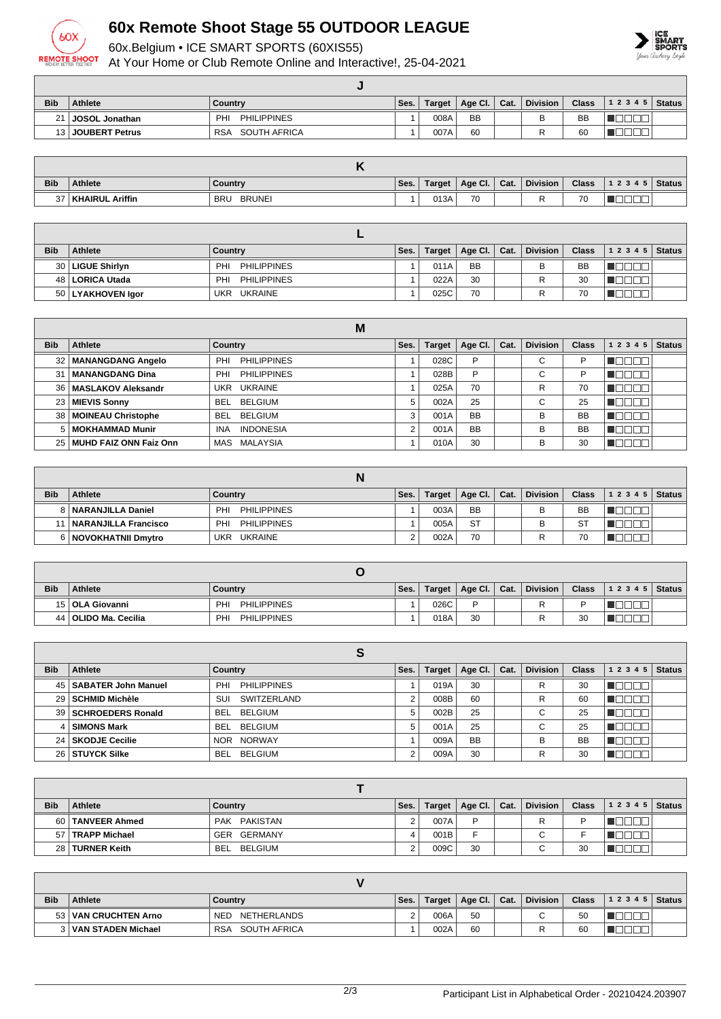

## **60x Remote Shoot Stage 55 OUTDOOR LEAGUE**

60x.Belgium • ICE SMART SPORTS (60XIS55)

At Your Home or Club Remote Online and Interactive!, 25-04-2021



| <b>Bib</b>      | <b>Athlete</b>    | Country                    | Ses. | Target | Age Cl. $\vert$ Cat. | <b>Division</b> | <b>Class</b> | $12345$ Status |  |
|-----------------|-------------------|----------------------------|------|--------|----------------------|-----------------|--------------|----------------|--|
| 21 <sub>1</sub> | JOSOL Jonathan    | <b>PHILIPPINES</b><br>PHI  |      | 008A   | <b>BB</b>            | D               | <b>BB</b>    |                |  |
|                 | 13 JOUBERT Petrus | SOUTH AFRICA<br><b>RSA</b> |      | 007A   | 60                   |                 | 60           |                |  |

| <b>Bib</b> | <b>Athlete</b>         | Countrv                     | Ses. | <b>Target</b> | Age Cl. | Cat. | <b>Division</b> | <b>Class</b> | 1 2 3 4 5 | <b>Status</b> |
|------------|------------------------|-----------------------------|------|---------------|---------|------|-----------------|--------------|-----------|---------------|
| $\sim$     | <b>KHAIRUL Ariffin</b> | <b>BRUNEI</b><br><b>BRU</b> |      | 013A          | 70      |      |                 | 70           | _         |               |

| <b>Bib</b> | <b>Athlete</b>      | Country                   | Ses. | <b>Target</b> | Age Cl.   Cat. | <b>Division</b> | <b>Class</b> | $ 12345 $ Status |  |
|------------|---------------------|---------------------------|------|---------------|----------------|-----------------|--------------|------------------|--|
|            | 30   LIGUE Shirlyn  | <b>PHILIPPINES</b><br>PHI |      | 011A          | <b>BB</b>      | B               | <b>BB</b>    |                  |  |
|            | 48   LORICA Utada   | <b>PHILIPPINES</b><br>PHI |      | 022A          | 30             |                 | 30           |                  |  |
|            | 50   LYAKHOVEN Igor | UKR UKRAINE               |      | 025C          | 70             |                 | 70           | __               |  |

|            |                             | M                              |      |               |           |      |                 |              |           |               |
|------------|-----------------------------|--------------------------------|------|---------------|-----------|------|-----------------|--------------|-----------|---------------|
| <b>Bib</b> | Athlete                     | Country                        | Ses. | <b>Target</b> | Age Cl.   | Cat. | <b>Division</b> | <b>Class</b> | 1 2 3 4 5 | <b>Status</b> |
|            | 32   MANANGDANG Angelo      | <b>PHILIPPINES</b><br>PHI      |      | 028C          | P         |      | $\sim$<br>U     | P            |           |               |
| 31         | <b>MANANGDANG Dina</b>      | <b>PHILIPPINES</b><br>PHI      |      | 028B          | P         |      | $\sim$<br>U     | D            |           |               |
|            | 36   MASLAKOV Aleksandr     | UKR UKRAINE                    |      | 025A          | 70        |      | R               | 70           |           |               |
|            | 23   MIEVIS Sonny           | BELGIUM<br>BEL                 | 5    | 002A          | 25        |      | $\sim$<br>U     | 25           |           |               |
|            | 38   MOINEAU Christophe     | BELGIUM<br><b>BEL</b>          |      | 001A          | <b>BB</b> |      | в               | <b>BB</b>    |           |               |
|            | 5 MOKHAMMAD Munir           | <b>INDONESIA</b><br><b>INA</b> |      | 001A          | <b>BB</b> |      | B               | <b>BB</b>    |           |               |
|            | 25   MUHD FAIZ ONN Faiz Onn | MAS MALAYSIA                   |      | 010A          | 30        |      | в               | 30           |           |               |

| <b>Bib</b> | <b>Athlete</b>              | Country                   | Ses. | Target | Age Cl. $\vert$ Cat. | <b>Division</b> | <b>Class</b> | 12345 | <b>Status</b> |
|------------|-----------------------------|---------------------------|------|--------|----------------------|-----------------|--------------|-------|---------------|
|            | 8   NARANJILLA Daniel       | PHI<br><b>PHILIPPINES</b> |      | 003A   | <b>BB</b>            | В               | <b>BB</b>    |       |               |
|            | <b>NARANJILLA Francisco</b> | <b>PHILIPPINES</b><br>PHI |      | 005A   | <b>ST</b>            |                 | $S^{T}$      |       |               |
|            | 6 NOVOKHATNII Dmytro        | UKRAINE<br>UKR            |      | 002A   | 70                   |                 | 70           |       |               |

| <b>Bib</b> | <b>Athlete</b>         | Country                   | Ses. | Target | Age Cl.   Cat. |  | <b>Division</b> | <b>Class</b> | $12345$ Status |  |  |
|------------|------------------------|---------------------------|------|--------|----------------|--|-----------------|--------------|----------------|--|--|
|            | 15   OLA Giovanni      | <b>PHILIPPINES</b><br>PHI |      | 026C   | D              |  |                 |              |                |  |  |
|            | 44   OLIDO Ma. Cecilia | PHILIPPINES<br><b>PHI</b> |      | 018A   | 30             |  |                 | 30           |                |  |  |

| <b>Bib</b> | <b>Athlete</b>           | Country                     | Ses. | Target | Age CI.   | Cat. | <b>Division</b> | <b>Class</b> | <b>Status</b><br>1 2 3 4 5 |
|------------|--------------------------|-----------------------------|------|--------|-----------|------|-----------------|--------------|----------------------------|
|            | 45   SABATER John Manuel | PHILIPPINES<br>PHI          |      | 019A   | 30        |      | R               | 30           |                            |
|            | 29 SCHMID Michèle        | SWITZERLAND<br>SUI          |      | 008B   | 60        |      | R               | 60           |                            |
|            | 39   SCHROEDERS Ronald   | <b>BEL</b><br>BELGIUM       | 5    | 002B   | 25        |      | ⌒<br>◡          | 25           |                            |
| 4 I        | <b>SIMONS Mark</b>       | BELGIUM<br><b>BEL</b>       | 5    | 001A   | 25        |      | $\sim$<br>◡     | 25           |                            |
|            | 24   SKODJE Cecilie      | <b>NORWAY</b><br><b>NOR</b> |      | 009A   | <b>BB</b> |      | B               | <b>BB</b>    |                            |
|            | 26 STUYCK Silke          | BELGIUM<br><b>BEL</b>       |      | 009A   | 30        |      | R               | 30           |                            |

| <b>Bib</b> | <b>Athlete</b>     | Country      | Ses. | Target | Age Cl.   Cat. | <b>Division</b> | <b>Class</b> | $12345$ Status |  |
|------------|--------------------|--------------|------|--------|----------------|-----------------|--------------|----------------|--|
|            | 60 TANVEER Ahmed   | PAK PAKISTAN |      | 007A   | D              |                 |              |                |  |
|            | 57   TRAPP Michael | GER GERMANY  |      | 001B   |                |                 |              |                |  |
|            | 28 TURNER Keith    | BEL BELGIUM  | n    | 009C   | 30             |                 | 30           |                |  |

| <b>Bib</b> | <b>Athlete</b>         | Country                    | Ses. | Target | Age Cl.   Cat. | <b>Division</b> | <b>Class</b> | $12345$ Status |  |
|------------|------------------------|----------------------------|------|--------|----------------|-----------------|--------------|----------------|--|
|            | 53   VAN CRUCHTEN Arno | NED NETHERLANDS            |      | 006A   | 50             | $\sim$          | 50           |                |  |
|            | 3   VAN STADEN Michael | SOUTH AFRICA<br><b>RSA</b> |      | 002A   | 60             |                 | 60           |                |  |

| 2/3 | Participant List in Alphabetical Order - 20210424.203907 |
|-----|----------------------------------------------------------|
|     |                                                          |